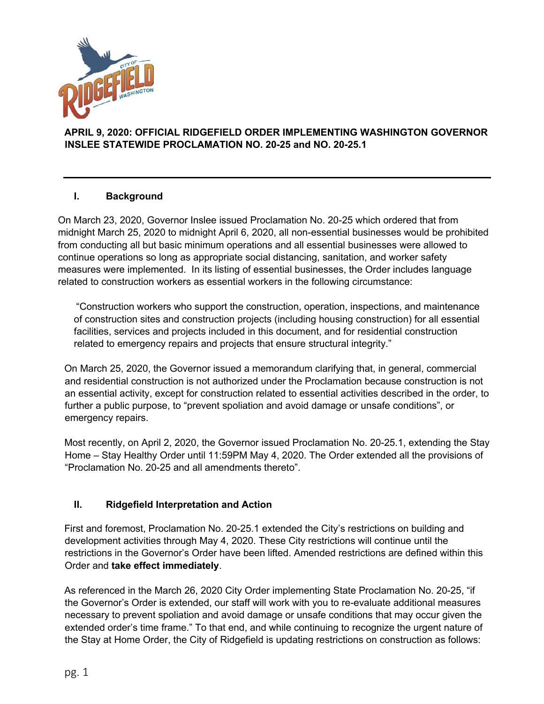

## **APRIL 9, 2020: OFFICIAL RIDGEFIELD ORDER IMPLEMENTING WASHINGTON GOVERNOR INSLEE STATEWIDE PROCLAMATION NO. 20-25 and NO. 20-25.1**

## **I. Background**

On March 23, 2020, Governor Inslee issued Proclamation No. 20-25 which ordered that from midnight March 25, 2020 to midnight April 6, 2020, all non-essential businesses would be prohibited from conducting all but basic minimum operations and all essential businesses were allowed to continue operations so long as appropriate social distancing, sanitation, and worker safety measures were implemented. In its listing of essential businesses, the Order includes language related to construction workers as essential workers in the following circumstance:

"Construction workers who support the construction, operation, inspections, and maintenance of construction sites and construction projects (including housing construction) for all essential facilities, services and projects included in this document, and for residential construction related to emergency repairs and projects that ensure structural integrity."

On March 25, 2020, the Governor issued a memorandum clarifying that, in general, commercial and residential construction is not authorized under the Proclamation because construction is not an essential activity, except for construction related to essential activities described in the order, to further a public purpose, to "prevent spoliation and avoid damage or unsafe conditions", or emergency repairs.

Most recently, on April 2, 2020, the Governor issued Proclamation No. 20-25.1, extending the Stay Home – Stay Healthy Order until 11:59PM May 4, 2020. The Order extended all the provisions of "Proclamation No. 20-25 and all amendments thereto".

## **II. Ridgefield Interpretation and Action**

First and foremost, Proclamation No. 20-25.1 extended the City's restrictions on building and development activities through May 4, 2020. These City restrictions will continue until the restrictions in the Governor's Order have been lifted. Amended restrictions are defined within this Order and **take effect immediately**.

As referenced in the March 26, 2020 City Order implementing State Proclamation No. 20-25, "if the Governor's Order is extended, our staff will work with you to re-evaluate additional measures necessary to prevent spoliation and avoid damage or unsafe conditions that may occur given the extended order's time frame." To that end, and while continuing to recognize the urgent nature of the Stay at Home Order, the City of Ridgefield is updating restrictions on construction as follows: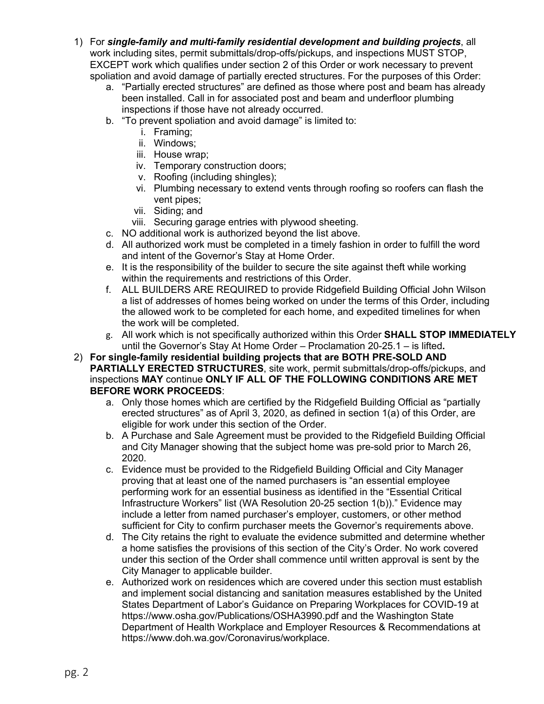- 1) For *single-family and multi-family residential development and building projects*, all work including sites, permit submittals/drop-offs/pickups, and inspections MUST STOP, EXCEPT work which qualifies under section 2 of this Order or work necessary to prevent spoliation and avoid damage of partially erected structures. For the purposes of this Order:
	- a. "Partially erected structures" are defined as those where post and beam has already been installed. Call in for associated post and beam and underfloor plumbing inspections if those have not already occurred.
	- b. "To prevent spoliation and avoid damage" is limited to:
		- i. Framing;
		- ii. Windows;
		- iii. House wrap;
		- iv. Temporary construction doors;
		- v. Roofing (including shingles);
		- vi. Plumbing necessary to extend vents through roofing so roofers can flash the vent pipes;
		- vii. Siding; and
		- viii. Securing garage entries with plywood sheeting.
	- c. NO additional work is authorized beyond the list above.
	- d. All authorized work must be completed in a timely fashion in order to fulfill the word and intent of the Governor's Stay at Home Order.
	- e. It is the responsibility of the builder to secure the site against theft while working within the requirements and restrictions of this Order.
	- f. ALL BUILDERS ARE REQUIRED to provide Ridgefield Building Official John Wilson a list of addresses of homes being worked on under the terms of this Order, including the allowed work to be completed for each home, and expedited timelines for when the work will be completed.
	- g. All work which is not specifically authorized within this Order **SHALL STOP IMMEDIATELY** until the Governor's Stay At Home Order – Proclamation 20-25.1 – is lifted**.**
- 2) **For single-family residential building projects that are BOTH PRE-SOLD AND PARTIALLY ERECTED STRUCTURES**, site work, permit submittals/drop-offs/pickups, and inspections **MAY** continue **ONLY IF ALL OF THE FOLLOWING CONDITIONS ARE MET BEFORE WORK PROCEEDS**:
	- a. Only those homes which are certified by the Ridgefield Building Official as "partially erected structures" as of April 3, 2020, as defined in section 1(a) of this Order, are eligible for work under this section of the Order.
	- b. A Purchase and Sale Agreement must be provided to the Ridgefield Building Official and City Manager showing that the subject home was pre-sold prior to March 26, 2020.
	- c. Evidence must be provided to the Ridgefield Building Official and City Manager proving that at least one of the named purchasers is "an essential employee performing work for an essential business as identified in the "Essential Critical Infrastructure Workers" list (WA Resolution 20-25 section 1(b))." Evidence may include a letter from named purchaser's employer, customers, or other method sufficient for City to confirm purchaser meets the Governor's requirements above.
	- d. The City retains the right to evaluate the evidence submitted and determine whether a home satisfies the provisions of this section of the City's Order. No work covered under this section of the Order shall commence until written approval is sent by the City Manager to applicable builder.
	- e. Authorized work on residences which are covered under this section must establish and implement social distancing and sanitation measures established by the United States Department of Labor's Guidance on Preparing Workplaces for COVID-19 at https://www.osha.gov/Publications/OSHA3990.pdf and the Washington State Department of Health Workplace and Employer Resources & Recommendations at https://www.doh.wa.gov/Coronavirus/workplace.